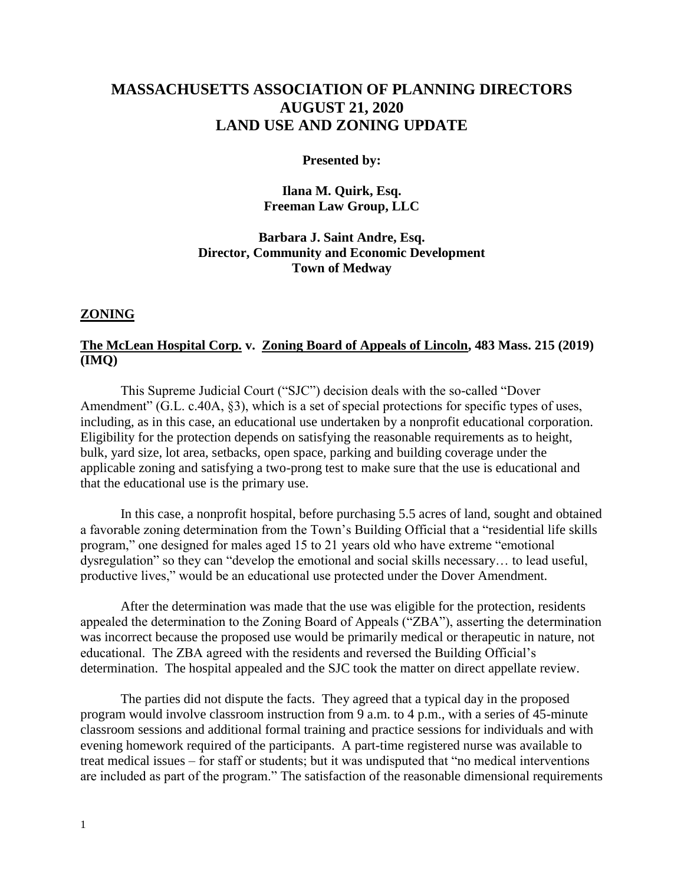# **MASSACHUSETTS ASSOCIATION OF PLANNING DIRECTORS AUGUST 21, 2020 LAND USE AND ZONING UPDATE**

#### **Presented by:**

**Ilana M. Quirk, Esq. Freeman Law Group, LLC**

### **Barbara J. Saint Andre, Esq. Director, Community and Economic Development Town of Medway**

#### **ZONING**

# **The McLean Hospital Corp. v. Zoning Board of Appeals of Lincoln, 483 Mass. 215 (2019) (IMQ)**

This Supreme Judicial Court ("SJC") decision deals with the so-called "Dover Amendment" (G.L. c.40A, §3), which is a set of special protections for specific types of uses, including, as in this case, an educational use undertaken by a nonprofit educational corporation. Eligibility for the protection depends on satisfying the reasonable requirements as to height, bulk, yard size, lot area, setbacks, open space, parking and building coverage under the applicable zoning and satisfying a two-prong test to make sure that the use is educational and that the educational use is the primary use.

In this case, a nonprofit hospital, before purchasing 5.5 acres of land, sought and obtained a favorable zoning determination from the Town's Building Official that a "residential life skills program," one designed for males aged 15 to 21 years old who have extreme "emotional dysregulation" so they can "develop the emotional and social skills necessary… to lead useful, productive lives," would be an educational use protected under the Dover Amendment.

After the determination was made that the use was eligible for the protection, residents appealed the determination to the Zoning Board of Appeals ("ZBA"), asserting the determination was incorrect because the proposed use would be primarily medical or therapeutic in nature, not educational. The ZBA agreed with the residents and reversed the Building Official's determination. The hospital appealed and the SJC took the matter on direct appellate review.

The parties did not dispute the facts. They agreed that a typical day in the proposed program would involve classroom instruction from 9 a.m. to 4 p.m., with a series of 45-minute classroom sessions and additional formal training and practice sessions for individuals and with evening homework required of the participants. A part-time registered nurse was available to treat medical issues – for staff or students; but it was undisputed that "no medical interventions are included as part of the program." The satisfaction of the reasonable dimensional requirements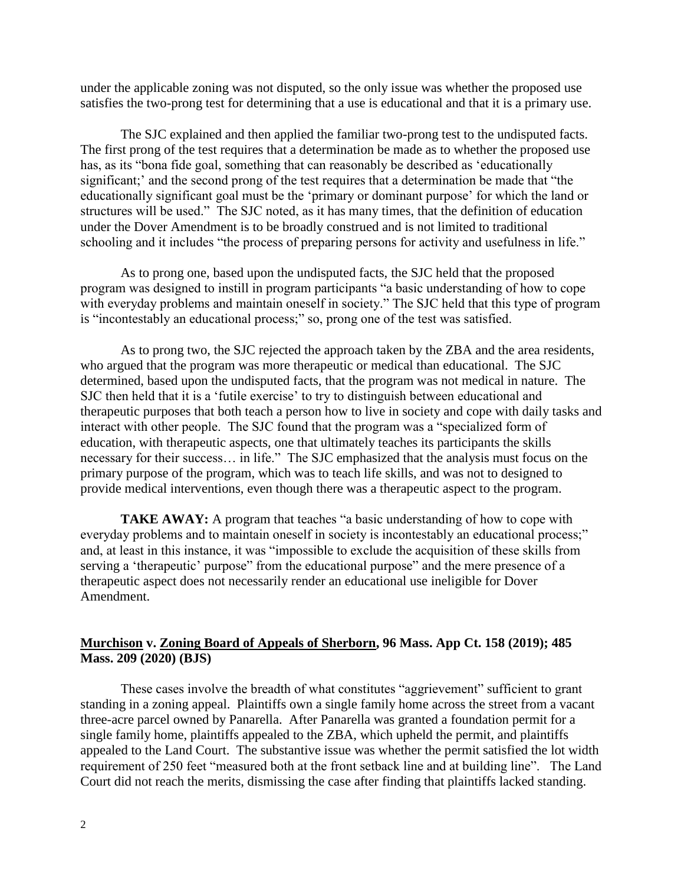under the applicable zoning was not disputed, so the only issue was whether the proposed use satisfies the two-prong test for determining that a use is educational and that it is a primary use.

The SJC explained and then applied the familiar two-prong test to the undisputed facts. The first prong of the test requires that a determination be made as to whether the proposed use has, as its "bona fide goal, something that can reasonably be described as 'educationally significant;' and the second prong of the test requires that a determination be made that "the educationally significant goal must be the 'primary or dominant purpose' for which the land or structures will be used." The SJC noted, as it has many times, that the definition of education under the Dover Amendment is to be broadly construed and is not limited to traditional schooling and it includes "the process of preparing persons for activity and usefulness in life."

As to prong one, based upon the undisputed facts, the SJC held that the proposed program was designed to instill in program participants "a basic understanding of how to cope with everyday problems and maintain oneself in society." The SJC held that this type of program is "incontestably an educational process;" so, prong one of the test was satisfied.

As to prong two, the SJC rejected the approach taken by the ZBA and the area residents, who argued that the program was more therapeutic or medical than educational. The SJC determined, based upon the undisputed facts, that the program was not medical in nature. The SJC then held that it is a 'futile exercise' to try to distinguish between educational and therapeutic purposes that both teach a person how to live in society and cope with daily tasks and interact with other people. The SJC found that the program was a "specialized form of education, with therapeutic aspects, one that ultimately teaches its participants the skills necessary for their success… in life." The SJC emphasized that the analysis must focus on the primary purpose of the program, which was to teach life skills, and was not to designed to provide medical interventions, even though there was a therapeutic aspect to the program.

**TAKE AWAY:** A program that teaches "a basic understanding of how to cope with everyday problems and to maintain oneself in society is incontestably an educational process;" and, at least in this instance, it was "impossible to exclude the acquisition of these skills from serving a 'therapeutic' purpose" from the educational purpose" and the mere presence of a therapeutic aspect does not necessarily render an educational use ineligible for Dover Amendment.

### **Murchison v. Zoning Board of Appeals of Sherborn, 96 Mass. App Ct. 158 (2019); 485 Mass. 209 (2020) (BJS)**

These cases involve the breadth of what constitutes "aggrievement" sufficient to grant standing in a zoning appeal. Plaintiffs own a single family home across the street from a vacant three-acre parcel owned by Panarella. After Panarella was granted a foundation permit for a single family home, plaintiffs appealed to the ZBA, which upheld the permit, and plaintiffs appealed to the Land Court. The substantive issue was whether the permit satisfied the lot width requirement of 250 feet "measured both at the front setback line and at building line". The Land Court did not reach the merits, dismissing the case after finding that plaintiffs lacked standing.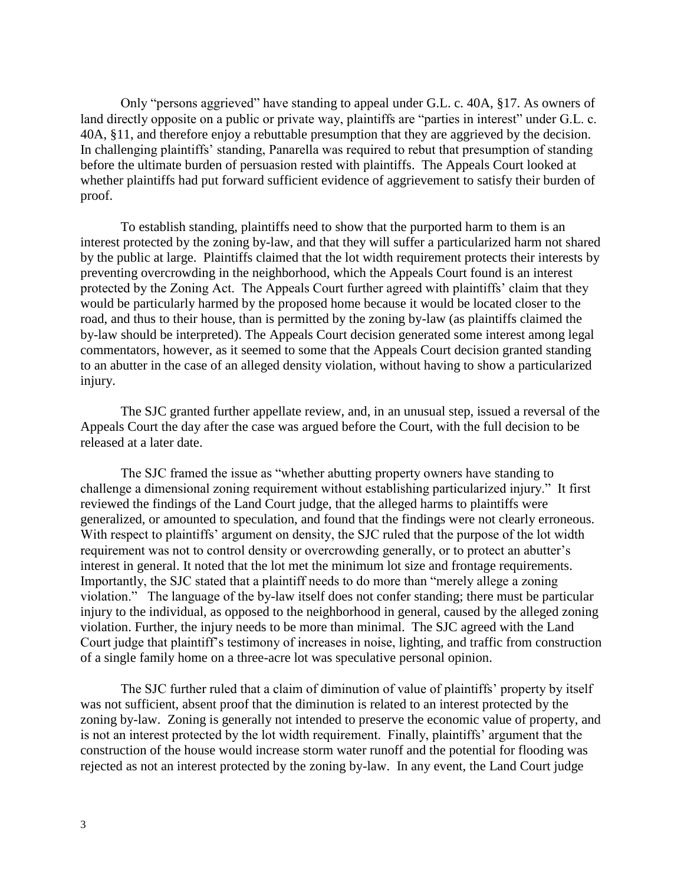Only "persons aggrieved" have standing to appeal under G.L. c. 40A, §17. As owners of land directly opposite on a public or private way, plaintiffs are "parties in interest" under G.L. c. 40A, §11, and therefore enjoy a rebuttable presumption that they are aggrieved by the decision. In challenging plaintiffs' standing, Panarella was required to rebut that presumption of standing before the ultimate burden of persuasion rested with plaintiffs. The Appeals Court looked at whether plaintiffs had put forward sufficient evidence of aggrievement to satisfy their burden of proof.

To establish standing, plaintiffs need to show that the purported harm to them is an interest protected by the zoning by-law, and that they will suffer a particularized harm not shared by the public at large. Plaintiffs claimed that the lot width requirement protects their interests by preventing overcrowding in the neighborhood, which the Appeals Court found is an interest protected by the Zoning Act. The Appeals Court further agreed with plaintiffs' claim that they would be particularly harmed by the proposed home because it would be located closer to the road, and thus to their house, than is permitted by the zoning by-law (as plaintiffs claimed the by-law should be interpreted). The Appeals Court decision generated some interest among legal commentators, however, as it seemed to some that the Appeals Court decision granted standing to an abutter in the case of an alleged density violation, without having to show a particularized injury.

The SJC granted further appellate review, and, in an unusual step, issued a reversal of the Appeals Court the day after the case was argued before the Court, with the full decision to be released at a later date.

The SJC framed the issue as "whether abutting property owners have standing to challenge a dimensional zoning requirement without establishing particularized injury." It first reviewed the findings of the Land Court judge, that the alleged harms to plaintiffs were generalized, or amounted to speculation, and found that the findings were not clearly erroneous. With respect to plaintiffs' argument on density, the SJC ruled that the purpose of the lot width requirement was not to control density or overcrowding generally, or to protect an abutter's interest in general. It noted that the lot met the minimum lot size and frontage requirements. Importantly, the SJC stated that a plaintiff needs to do more than "merely allege a zoning violation." The language of the by-law itself does not confer standing; there must be particular injury to the individual, as opposed to the neighborhood in general, caused by the alleged zoning violation. Further, the injury needs to be more than minimal. The SJC agreed with the Land Court judge that plaintiff's testimony of increases in noise, lighting, and traffic from construction of a single family home on a three-acre lot was speculative personal opinion.

The SJC further ruled that a claim of diminution of value of plaintiffs' property by itself was not sufficient, absent proof that the diminution is related to an interest protected by the zoning by-law. Zoning is generally not intended to preserve the economic value of property, and is not an interest protected by the lot width requirement. Finally, plaintiffs' argument that the construction of the house would increase storm water runoff and the potential for flooding was rejected as not an interest protected by the zoning by-law. In any event, the Land Court judge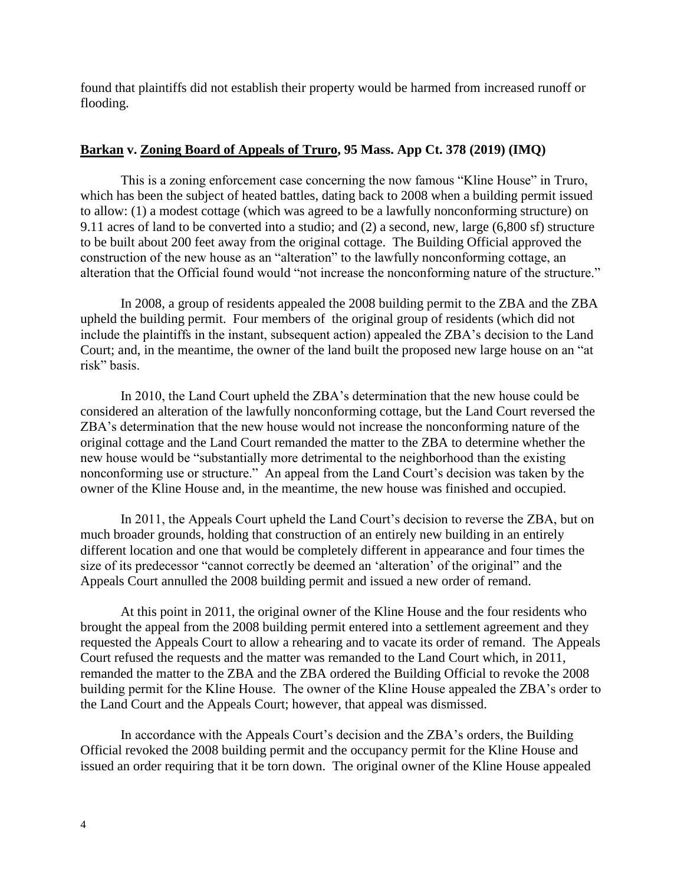found that plaintiffs did not establish their property would be harmed from increased runoff or flooding.

# **Barkan v. Zoning Board of Appeals of Truro, 95 Mass. App Ct. 378 (2019) (IMQ)**

This is a zoning enforcement case concerning the now famous "Kline House" in Truro, which has been the subject of heated battles, dating back to 2008 when a building permit issued to allow: (1) a modest cottage (which was agreed to be a lawfully nonconforming structure) on 9.11 acres of land to be converted into a studio; and (2) a second, new, large (6,800 sf) structure to be built about 200 feet away from the original cottage. The Building Official approved the construction of the new house as an "alteration" to the lawfully nonconforming cottage, an alteration that the Official found would "not increase the nonconforming nature of the structure."

In 2008, a group of residents appealed the 2008 building permit to the ZBA and the ZBA upheld the building permit. Four members of the original group of residents (which did not include the plaintiffs in the instant, subsequent action) appealed the ZBA's decision to the Land Court; and, in the meantime, the owner of the land built the proposed new large house on an "at risk" basis.

In 2010, the Land Court upheld the ZBA's determination that the new house could be considered an alteration of the lawfully nonconforming cottage, but the Land Court reversed the ZBA's determination that the new house would not increase the nonconforming nature of the original cottage and the Land Court remanded the matter to the ZBA to determine whether the new house would be "substantially more detrimental to the neighborhood than the existing nonconforming use or structure." An appeal from the Land Court's decision was taken by the owner of the Kline House and, in the meantime, the new house was finished and occupied.

In 2011, the Appeals Court upheld the Land Court's decision to reverse the ZBA, but on much broader grounds, holding that construction of an entirely new building in an entirely different location and one that would be completely different in appearance and four times the size of its predecessor "cannot correctly be deemed an 'alteration' of the original" and the Appeals Court annulled the 2008 building permit and issued a new order of remand.

At this point in 2011, the original owner of the Kline House and the four residents who brought the appeal from the 2008 building permit entered into a settlement agreement and they requested the Appeals Court to allow a rehearing and to vacate its order of remand. The Appeals Court refused the requests and the matter was remanded to the Land Court which, in 2011, remanded the matter to the ZBA and the ZBA ordered the Building Official to revoke the 2008 building permit for the Kline House. The owner of the Kline House appealed the ZBA's order to the Land Court and the Appeals Court; however, that appeal was dismissed.

In accordance with the Appeals Court's decision and the ZBA's orders, the Building Official revoked the 2008 building permit and the occupancy permit for the Kline House and issued an order requiring that it be torn down. The original owner of the Kline House appealed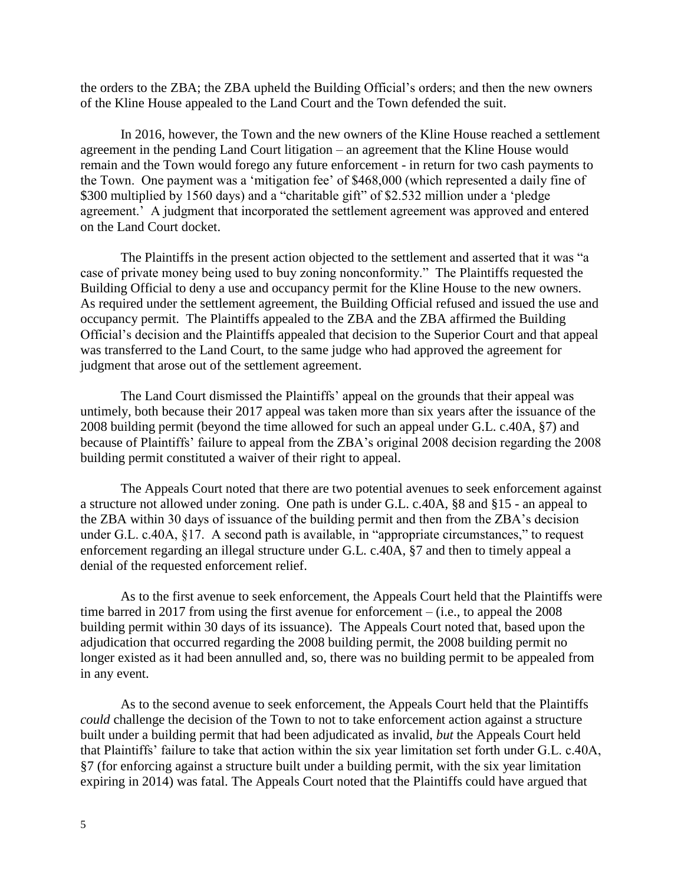the orders to the ZBA; the ZBA upheld the Building Official's orders; and then the new owners of the Kline House appealed to the Land Court and the Town defended the suit.

In 2016, however, the Town and the new owners of the Kline House reached a settlement agreement in the pending Land Court litigation – an agreement that the Kline House would remain and the Town would forego any future enforcement - in return for two cash payments to the Town. One payment was a 'mitigation fee' of \$468,000 (which represented a daily fine of \$300 multiplied by 1560 days) and a "charitable gift" of \$2.532 million under a 'pledge agreement.' A judgment that incorporated the settlement agreement was approved and entered on the Land Court docket.

The Plaintiffs in the present action objected to the settlement and asserted that it was "a case of private money being used to buy zoning nonconformity." The Plaintiffs requested the Building Official to deny a use and occupancy permit for the Kline House to the new owners. As required under the settlement agreement, the Building Official refused and issued the use and occupancy permit. The Plaintiffs appealed to the ZBA and the ZBA affirmed the Building Official's decision and the Plaintiffs appealed that decision to the Superior Court and that appeal was transferred to the Land Court, to the same judge who had approved the agreement for judgment that arose out of the settlement agreement.

The Land Court dismissed the Plaintiffs' appeal on the grounds that their appeal was untimely, both because their 2017 appeal was taken more than six years after the issuance of the 2008 building permit (beyond the time allowed for such an appeal under G.L. c.40A, §7) and because of Plaintiffs' failure to appeal from the ZBA's original 2008 decision regarding the 2008 building permit constituted a waiver of their right to appeal.

The Appeals Court noted that there are two potential avenues to seek enforcement against a structure not allowed under zoning. One path is under G.L. c.40A, §8 and §15 - an appeal to the ZBA within 30 days of issuance of the building permit and then from the ZBA's decision under G.L. c.40A, §17. A second path is available, in "appropriate circumstances," to request enforcement regarding an illegal structure under G.L. c.40A, §7 and then to timely appeal a denial of the requested enforcement relief.

As to the first avenue to seek enforcement, the Appeals Court held that the Plaintiffs were time barred in 2017 from using the first avenue for enforcement – (i.e., to appeal the 2008 building permit within 30 days of its issuance). The Appeals Court noted that, based upon the adjudication that occurred regarding the 2008 building permit, the 2008 building permit no longer existed as it had been annulled and, so, there was no building permit to be appealed from in any event.

As to the second avenue to seek enforcement, the Appeals Court held that the Plaintiffs *could* challenge the decision of the Town to not to take enforcement action against a structure built under a building permit that had been adjudicated as invalid, *but* the Appeals Court held that Plaintiffs' failure to take that action within the six year limitation set forth under G.L. c.40A, §7 (for enforcing against a structure built under a building permit, with the six year limitation expiring in 2014) was fatal. The Appeals Court noted that the Plaintiffs could have argued that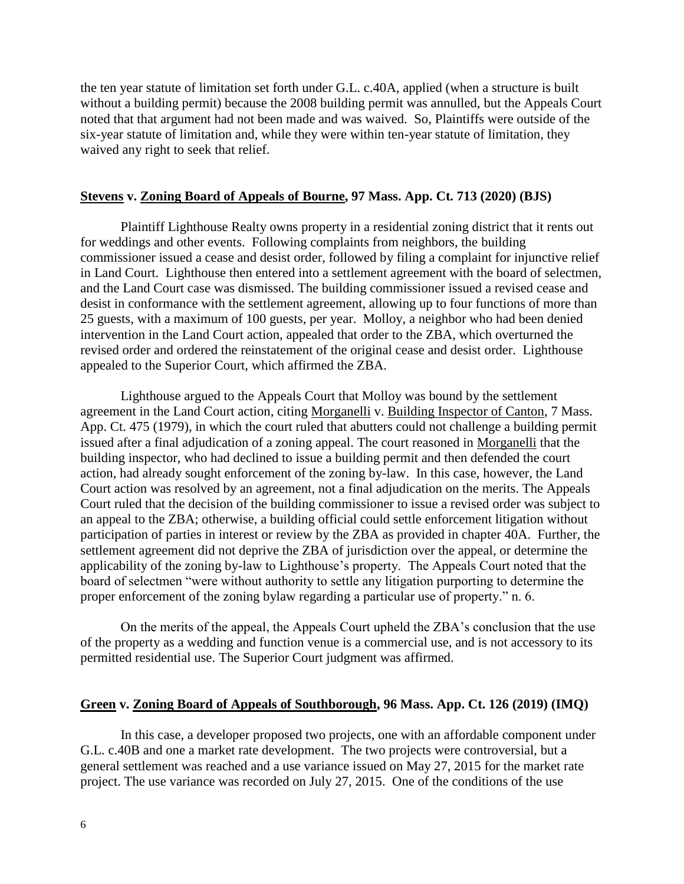the ten year statute of limitation set forth under G.L. c.40A, applied (when a structure is built without a building permit) because the 2008 building permit was annulled, but the Appeals Court noted that that argument had not been made and was waived. So, Plaintiffs were outside of the six-year statute of limitation and, while they were within ten-year statute of limitation, they waived any right to seek that relief.

### **Stevens v. Zoning Board of Appeals of Bourne, 97 Mass. App. Ct. 713 (2020) (BJS)**

Plaintiff Lighthouse Realty owns property in a residential zoning district that it rents out for weddings and other events. Following complaints from neighbors, the building commissioner issued a cease and desist order, followed by filing a complaint for injunctive relief in Land Court. Lighthouse then entered into a settlement agreement with the board of selectmen, and the Land Court case was dismissed. The building commissioner issued a revised cease and desist in conformance with the settlement agreement, allowing up to four functions of more than 25 guests, with a maximum of 100 guests, per year. Molloy, a neighbor who had been denied intervention in the Land Court action, appealed that order to the ZBA, which overturned the revised order and ordered the reinstatement of the original cease and desist order. Lighthouse appealed to the Superior Court, which affirmed the ZBA.

Lighthouse argued to the Appeals Court that Molloy was bound by the settlement agreement in the Land Court action, citing Morganelli v. Building Inspector of Canton, 7 Mass. App. Ct. 475 (1979), in which the court ruled that abutters could not challenge a building permit issued after a final adjudication of a zoning appeal. The court reasoned in Morganelli that the building inspector, who had declined to issue a building permit and then defended the court action, had already sought enforcement of the zoning by-law. In this case, however, the Land Court action was resolved by an agreement, not a final adjudication on the merits. The Appeals Court ruled that the decision of the building commissioner to issue a revised order was subject to an appeal to the ZBA; otherwise, a building official could settle enforcement litigation without participation of parties in interest or review by the ZBA as provided in chapter 40A. Further, the settlement agreement did not deprive the ZBA of jurisdiction over the appeal, or determine the applicability of the zoning by-law to Lighthouse's property. The Appeals Court noted that the board of selectmen "were without authority to settle any litigation purporting to determine the proper enforcement of the zoning bylaw regarding a particular use of property." n. 6.

On the merits of the appeal, the Appeals Court upheld the ZBA's conclusion that the use of the property as a wedding and function venue is a commercial use, and is not accessory to its permitted residential use. The Superior Court judgment was affirmed.

#### **Green v. Zoning Board of Appeals of Southborough, 96 Mass. App. Ct. 126 (2019) (IMQ)**

In this case, a developer proposed two projects, one with an affordable component under G.L. c.40B and one a market rate development. The two projects were controversial, but a general settlement was reached and a use variance issued on May 27, 2015 for the market rate project. The use variance was recorded on July 27, 2015. One of the conditions of the use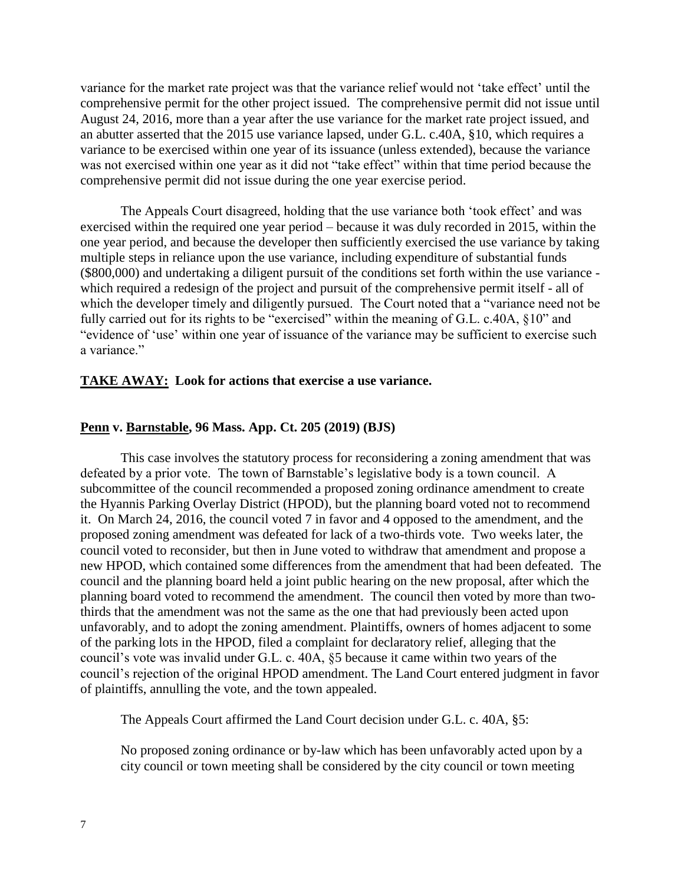variance for the market rate project was that the variance relief would not 'take effect' until the comprehensive permit for the other project issued. The comprehensive permit did not issue until August 24, 2016, more than a year after the use variance for the market rate project issued, and an abutter asserted that the 2015 use variance lapsed, under G.L. c.40A, §10, which requires a variance to be exercised within one year of its issuance (unless extended), because the variance was not exercised within one year as it did not "take effect" within that time period because the comprehensive permit did not issue during the one year exercise period.

The Appeals Court disagreed, holding that the use variance both 'took effect' and was exercised within the required one year period – because it was duly recorded in 2015, within the one year period, and because the developer then sufficiently exercised the use variance by taking multiple steps in reliance upon the use variance, including expenditure of substantial funds (\$800,000) and undertaking a diligent pursuit of the conditions set forth within the use variance which required a redesign of the project and pursuit of the comprehensive permit itself - all of which the developer timely and diligently pursued. The Court noted that a "variance need not be fully carried out for its rights to be "exercised" within the meaning of G.L. c.40A, §10" and "evidence of 'use' within one year of issuance of the variance may be sufficient to exercise such a variance."

#### **TAKE AWAY: Look for actions that exercise a use variance.**

#### **Penn v. Barnstable, 96 Mass. App. Ct. 205 (2019) (BJS)**

This case involves the statutory process for reconsidering a zoning amendment that was defeated by a prior vote. The town of Barnstable's legislative body is a town council. A subcommittee of the council recommended a proposed zoning ordinance amendment to create the Hyannis Parking Overlay District (HPOD), but the planning board voted not to recommend it. On March 24, 2016, the council voted 7 in favor and 4 opposed to the amendment, and the proposed zoning amendment was defeated for lack of a two-thirds vote. Two weeks later, the council voted to reconsider, but then in June voted to withdraw that amendment and propose a new HPOD, which contained some differences from the amendment that had been defeated. The council and the planning board held a joint public hearing on the new proposal, after which the planning board voted to recommend the amendment. The council then voted by more than twothirds that the amendment was not the same as the one that had previously been acted upon unfavorably, and to adopt the zoning amendment. Plaintiffs, owners of homes adjacent to some of the parking lots in the HPOD, filed a complaint for declaratory relief, alleging that the council's vote was invalid under G.L. c. 40A, §5 because it came within two years of the council's rejection of the original HPOD amendment. The Land Court entered judgment in favor of plaintiffs, annulling the vote, and the town appealed.

The Appeals Court affirmed the Land Court decision under G.L. c. 40A, §5:

No proposed zoning ordinance or by-law which has been unfavorably acted upon by a city council or town meeting shall be considered by the city council or town meeting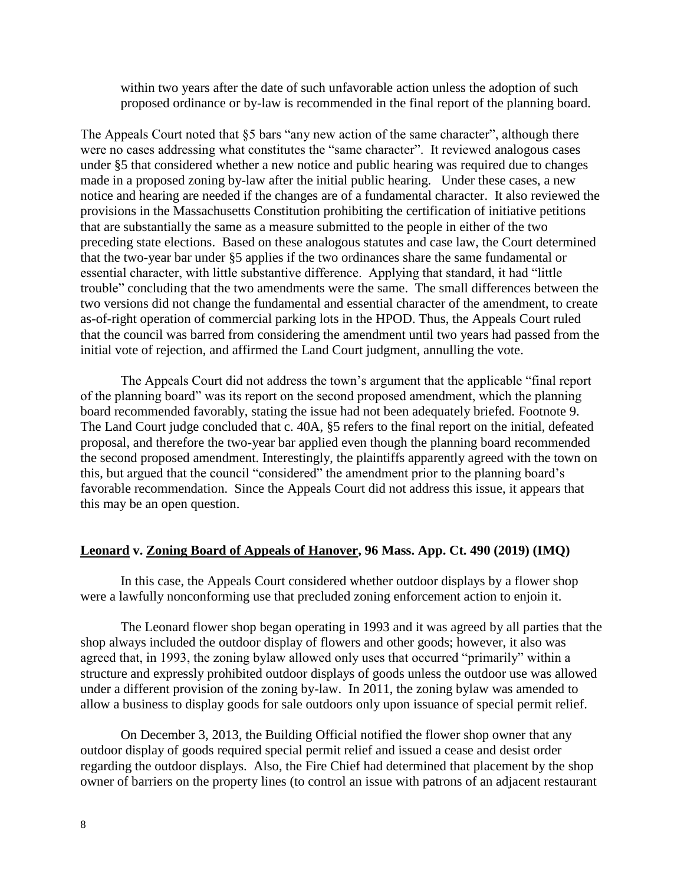within two years after the date of such unfavorable action unless the adoption of such proposed ordinance or by-law is recommended in the final report of the planning board.

The Appeals Court noted that §5 bars "any new action of the same character", although there were no cases addressing what constitutes the "same character". It reviewed analogous cases under §5 that considered whether a new notice and public hearing was required due to changes made in a proposed zoning by-law after the initial public hearing. Under these cases, a new notice and hearing are needed if the changes are of a fundamental character. It also reviewed the provisions in the Massachusetts Constitution prohibiting the certification of initiative petitions that are substantially the same as a measure submitted to the people in either of the two preceding state elections. Based on these analogous statutes and case law, the Court determined that the two-year bar under §5 applies if the two ordinances share the same fundamental or essential character, with little substantive difference. Applying that standard, it had "little trouble" concluding that the two amendments were the same. The small differences between the two versions did not change the fundamental and essential character of the amendment, to create as-of-right operation of commercial parking lots in the HPOD. Thus, the Appeals Court ruled that the council was barred from considering the amendment until two years had passed from the initial vote of rejection, and affirmed the Land Court judgment, annulling the vote.

The Appeals Court did not address the town's argument that the applicable "final report of the planning board" was its report on the second proposed amendment, which the planning board recommended favorably, stating the issue had not been adequately briefed. Footnote 9. The Land Court judge concluded that c. 40A, §5 refers to the final report on the initial, defeated proposal, and therefore the two-year bar applied even though the planning board recommended the second proposed amendment. Interestingly, the plaintiffs apparently agreed with the town on this, but argued that the council "considered" the amendment prior to the planning board's favorable recommendation. Since the Appeals Court did not address this issue, it appears that this may be an open question.

# **Leonard v. Zoning Board of Appeals of Hanover, 96 Mass. App. Ct. 490 (2019) (IMQ)**

In this case, the Appeals Court considered whether outdoor displays by a flower shop were a lawfully nonconforming use that precluded zoning enforcement action to enjoin it.

The Leonard flower shop began operating in 1993 and it was agreed by all parties that the shop always included the outdoor display of flowers and other goods; however, it also was agreed that, in 1993, the zoning bylaw allowed only uses that occurred "primarily" within a structure and expressly prohibited outdoor displays of goods unless the outdoor use was allowed under a different provision of the zoning by-law. In 2011, the zoning bylaw was amended to allow a business to display goods for sale outdoors only upon issuance of special permit relief.

On December 3, 2013, the Building Official notified the flower shop owner that any outdoor display of goods required special permit relief and issued a cease and desist order regarding the outdoor displays. Also, the Fire Chief had determined that placement by the shop owner of barriers on the property lines (to control an issue with patrons of an adjacent restaurant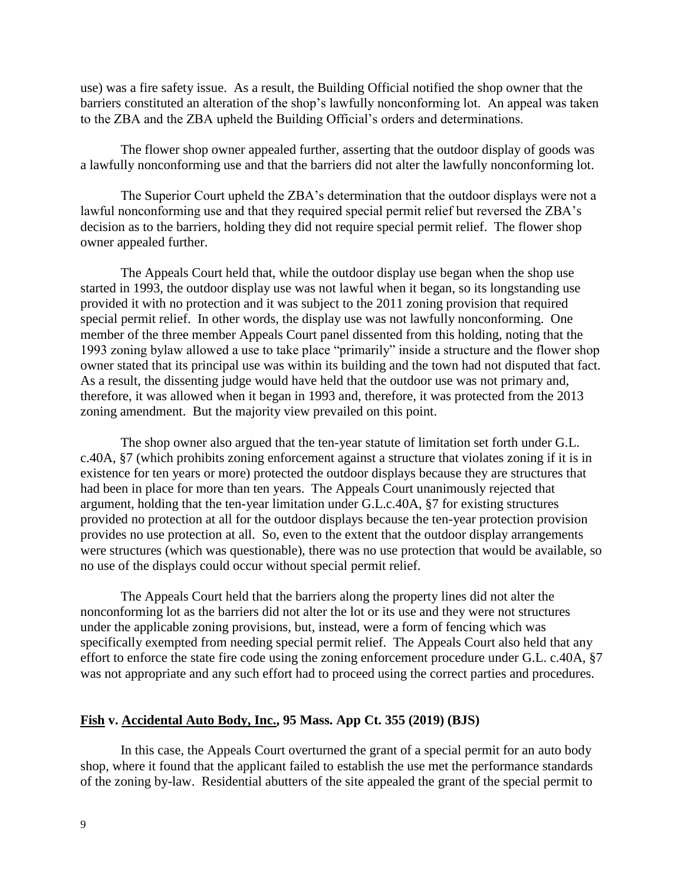use) was a fire safety issue. As a result, the Building Official notified the shop owner that the barriers constituted an alteration of the shop's lawfully nonconforming lot. An appeal was taken to the ZBA and the ZBA upheld the Building Official's orders and determinations.

The flower shop owner appealed further, asserting that the outdoor display of goods was a lawfully nonconforming use and that the barriers did not alter the lawfully nonconforming lot.

The Superior Court upheld the ZBA's determination that the outdoor displays were not a lawful nonconforming use and that they required special permit relief but reversed the ZBA's decision as to the barriers, holding they did not require special permit relief. The flower shop owner appealed further.

The Appeals Court held that, while the outdoor display use began when the shop use started in 1993, the outdoor display use was not lawful when it began, so its longstanding use provided it with no protection and it was subject to the 2011 zoning provision that required special permit relief. In other words, the display use was not lawfully nonconforming. One member of the three member Appeals Court panel dissented from this holding, noting that the 1993 zoning bylaw allowed a use to take place "primarily" inside a structure and the flower shop owner stated that its principal use was within its building and the town had not disputed that fact. As a result, the dissenting judge would have held that the outdoor use was not primary and, therefore, it was allowed when it began in 1993 and, therefore, it was protected from the 2013 zoning amendment. But the majority view prevailed on this point.

The shop owner also argued that the ten-year statute of limitation set forth under G.L. c.40A, §7 (which prohibits zoning enforcement against a structure that violates zoning if it is in existence for ten years or more) protected the outdoor displays because they are structures that had been in place for more than ten years. The Appeals Court unanimously rejected that argument, holding that the ten-year limitation under G.L.c.40A, §7 for existing structures provided no protection at all for the outdoor displays because the ten-year protection provision provides no use protection at all. So, even to the extent that the outdoor display arrangements were structures (which was questionable), there was no use protection that would be available, so no use of the displays could occur without special permit relief.

The Appeals Court held that the barriers along the property lines did not alter the nonconforming lot as the barriers did not alter the lot or its use and they were not structures under the applicable zoning provisions, but, instead, were a form of fencing which was specifically exempted from needing special permit relief. The Appeals Court also held that any effort to enforce the state fire code using the zoning enforcement procedure under G.L. c.40A, §7 was not appropriate and any such effort had to proceed using the correct parties and procedures.

#### **Fish v. Accidental Auto Body, Inc., 95 Mass. App Ct. 355 (2019) (BJS)**

In this case, the Appeals Court overturned the grant of a special permit for an auto body shop, where it found that the applicant failed to establish the use met the performance standards of the zoning by-law. Residential abutters of the site appealed the grant of the special permit to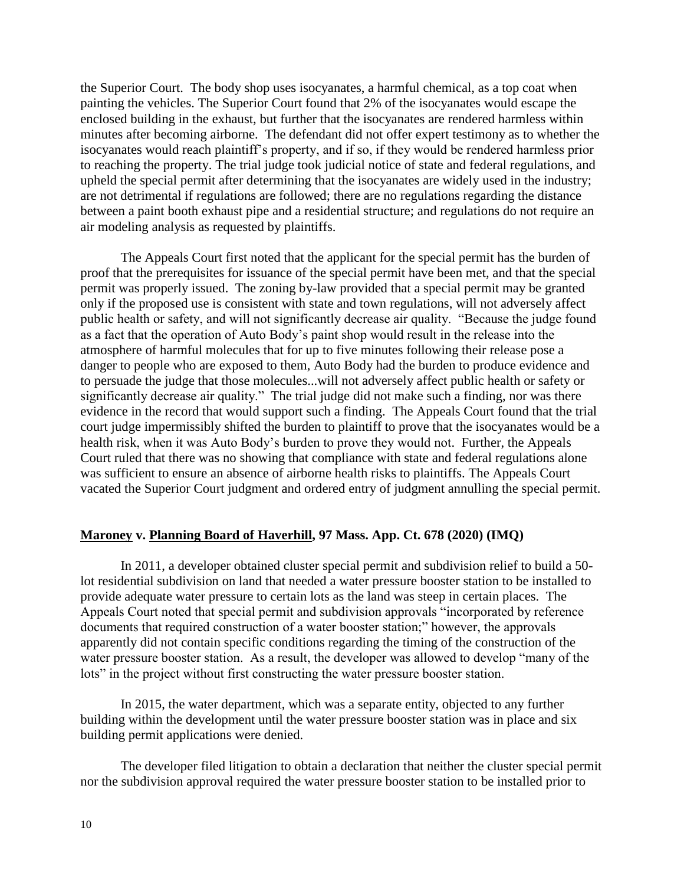the Superior Court. The body shop uses isocyanates, a harmful chemical, as a top coat when painting the vehicles. The Superior Court found that 2% of the isocyanates would escape the enclosed building in the exhaust, but further that the isocyanates are rendered harmless within minutes after becoming airborne. The defendant did not offer expert testimony as to whether the isocyanates would reach plaintiff's property, and if so, if they would be rendered harmless prior to reaching the property. The trial judge took judicial notice of state and federal regulations, and upheld the special permit after determining that the isocyanates are widely used in the industry; are not detrimental if regulations are followed; there are no regulations regarding the distance between a paint booth exhaust pipe and a residential structure; and regulations do not require an air modeling analysis as requested by plaintiffs.

The Appeals Court first noted that the applicant for the special permit has the burden of proof that the prerequisites for issuance of the special permit have been met, and that the special permit was properly issued. The zoning by-law provided that a special permit may be granted only if the proposed use is consistent with state and town regulations, will not adversely affect public health or safety, and will not significantly decrease air quality. "Because the judge found as a fact that the operation of Auto Body's paint shop would result in the release into the atmosphere of harmful molecules that for up to five minutes following their release pose a danger to people who are exposed to them, Auto Body had the burden to produce evidence and to persuade the judge that those molecules...will not adversely affect public health or safety or significantly decrease air quality." The trial judge did not make such a finding, nor was there evidence in the record that would support such a finding. The Appeals Court found that the trial court judge impermissibly shifted the burden to plaintiff to prove that the isocyanates would be a health risk, when it was Auto Body's burden to prove they would not. Further, the Appeals Court ruled that there was no showing that compliance with state and federal regulations alone was sufficient to ensure an absence of airborne health risks to plaintiffs. The Appeals Court vacated the Superior Court judgment and ordered entry of judgment annulling the special permit.

#### **Maroney v. Planning Board of Haverhill, 97 Mass. App. Ct. 678 (2020) (IMQ)**

In 2011, a developer obtained cluster special permit and subdivision relief to build a 50 lot residential subdivision on land that needed a water pressure booster station to be installed to provide adequate water pressure to certain lots as the land was steep in certain places. The Appeals Court noted that special permit and subdivision approvals "incorporated by reference documents that required construction of a water booster station;" however, the approvals apparently did not contain specific conditions regarding the timing of the construction of the water pressure booster station. As a result, the developer was allowed to develop "many of the lots" in the project without first constructing the water pressure booster station.

In 2015, the water department, which was a separate entity, objected to any further building within the development until the water pressure booster station was in place and six building permit applications were denied.

The developer filed litigation to obtain a declaration that neither the cluster special permit nor the subdivision approval required the water pressure booster station to be installed prior to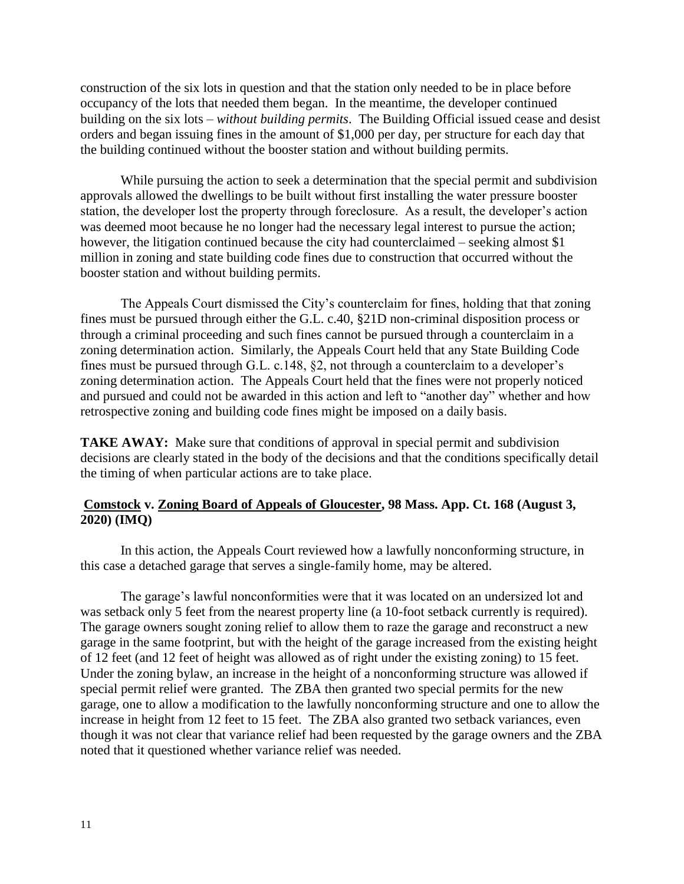construction of the six lots in question and that the station only needed to be in place before occupancy of the lots that needed them began. In the meantime, the developer continued building on the six lots – *without building permits*. The Building Official issued cease and desist orders and began issuing fines in the amount of \$1,000 per day, per structure for each day that the building continued without the booster station and without building permits.

While pursuing the action to seek a determination that the special permit and subdivision approvals allowed the dwellings to be built without first installing the water pressure booster station, the developer lost the property through foreclosure. As a result, the developer's action was deemed moot because he no longer had the necessary legal interest to pursue the action; however, the litigation continued because the city had counterclaimed – seeking almost \$1 million in zoning and state building code fines due to construction that occurred without the booster station and without building permits.

The Appeals Court dismissed the City's counterclaim for fines, holding that that zoning fines must be pursued through either the G.L. c.40, §21D non-criminal disposition process or through a criminal proceeding and such fines cannot be pursued through a counterclaim in a zoning determination action. Similarly, the Appeals Court held that any State Building Code fines must be pursued through G.L. c.148, §2, not through a counterclaim to a developer's zoning determination action. The Appeals Court held that the fines were not properly noticed and pursued and could not be awarded in this action and left to "another day" whether and how retrospective zoning and building code fines might be imposed on a daily basis.

**TAKE AWAY:** Make sure that conditions of approval in special permit and subdivision decisions are clearly stated in the body of the decisions and that the conditions specifically detail the timing of when particular actions are to take place.

# **Comstock v. Zoning Board of Appeals of Gloucester, 98 Mass. App. Ct. 168 (August 3, 2020) (IMQ)**

In this action, the Appeals Court reviewed how a lawfully nonconforming structure, in this case a detached garage that serves a single-family home, may be altered.

The garage's lawful nonconformities were that it was located on an undersized lot and was setback only 5 feet from the nearest property line (a 10-foot setback currently is required). The garage owners sought zoning relief to allow them to raze the garage and reconstruct a new garage in the same footprint, but with the height of the garage increased from the existing height of 12 feet (and 12 feet of height was allowed as of right under the existing zoning) to 15 feet. Under the zoning bylaw, an increase in the height of a nonconforming structure was allowed if special permit relief were granted. The ZBA then granted two special permits for the new garage, one to allow a modification to the lawfully nonconforming structure and one to allow the increase in height from 12 feet to 15 feet. The ZBA also granted two setback variances, even though it was not clear that variance relief had been requested by the garage owners and the ZBA noted that it questioned whether variance relief was needed.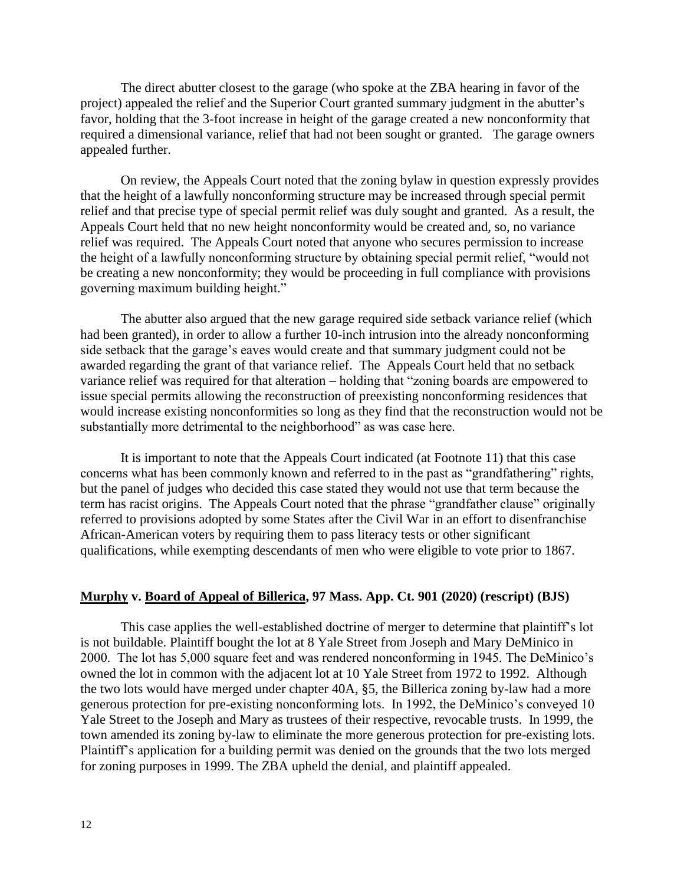The direct abutter closest to the garage (who spoke at the ZBA hearing in favor of the project) appealed the relief and the Superior Court granted summary judgment in the abutter's favor, holding that the 3-foot increase in height of the garage created a new nonconformity that required a dimensional variance, relief that had not been sought or granted. The garage owners appealed further.

On review, the Appeals Court noted that the zoning bylaw in question expressly provides that the height of a lawfully nonconforming structure may be increased through special permit relief and that precise type of special permit relief was duly sought and granted. As a result, the Appeals Court held that no new height nonconformity would be created and, so, no variance relief was required. The Appeals Court noted that anyone who secures permission to increase the height of a lawfully nonconforming structure by obtaining special permit relief, "would not be creating a new nonconformity; they would be proceeding in full compliance with provisions governing maximum building height."

The abutter also argued that the new garage required side setback variance relief (which had been granted), in order to allow a further 10-inch intrusion into the already nonconforming side setback that the garage's eaves would create and that summary judgment could not be awarded regarding the grant of that variance relief. The Appeals Court held that no setback variance relief was required for that alteration – holding that "zoning boards are empowered to issue special permits allowing the reconstruction of preexisting nonconforming residences that would increase existing nonconformities so long as they find that the reconstruction would not be substantially more detrimental to the neighborhood" as was case here.

It is important to note that the Appeals Court indicated (at Footnote 11) that this case concerns what has been commonly known and referred to in the past as "grandfathering" rights, but the panel of judges who decided this case stated they would not use that term because the term has racist origins. The Appeals Court noted that the phrase "grandfather clause" originally referred to provisions adopted by some States after the Civil War in an effort to disenfranchise African-American voters by requiring them to pass literacy tests or other significant qualifications, while exempting descendants of men who were eligible to vote prior to 1867.

### **Murphy v. Board of Appeal of Billerica, 97 Mass. App. Ct. 901 (2020) (rescript) (BJS)**

This case applies the well-established doctrine of merger to determine that plaintiff's lot is not buildable. Plaintiff bought the lot at 8 Yale Street from Joseph and Mary DeMinico in 2000. The lot has 5,000 square feet and was rendered nonconforming in 1945. The DeMinico's owned the lot in common with the adjacent lot at 10 Yale Street from 1972 to 1992. Although the two lots would have merged under chapter 40A, §5, the Billerica zoning by-law had a more generous protection for pre-existing nonconforming lots. In 1992, the DeMinico's conveyed 10 Yale Street to the Joseph and Mary as trustees of their respective, revocable trusts. In 1999, the town amended its zoning by-law to eliminate the more generous protection for pre-existing lots. Plaintiff's application for a building permit was denied on the grounds that the two lots merged for zoning purposes in 1999. The ZBA upheld the denial, and plaintiff appealed.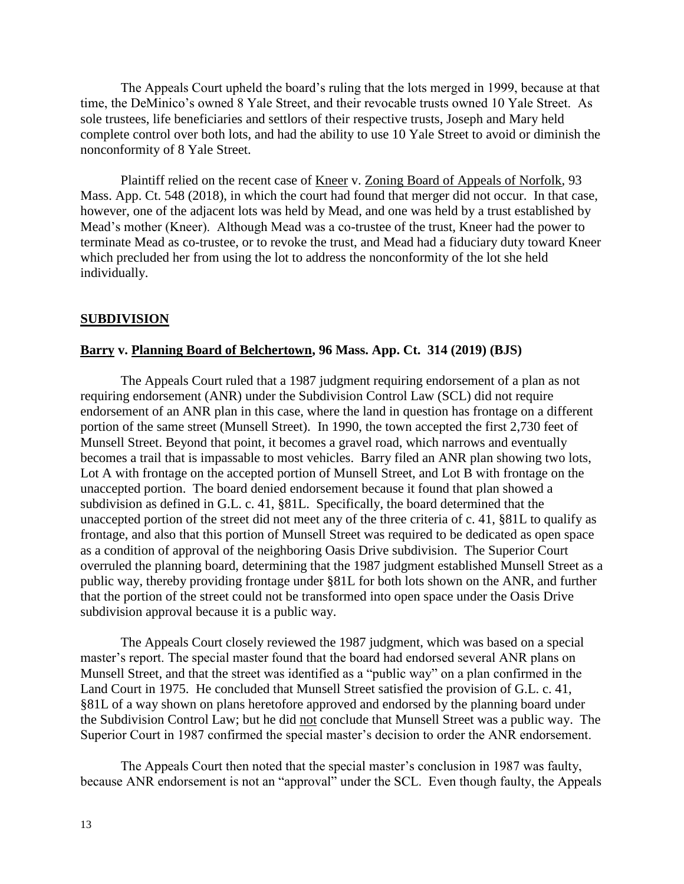The Appeals Court upheld the board's ruling that the lots merged in 1999, because at that time, the DeMinico's owned 8 Yale Street, and their revocable trusts owned 10 Yale Street. As sole trustees, life beneficiaries and settlors of their respective trusts, Joseph and Mary held complete control over both lots, and had the ability to use 10 Yale Street to avoid or diminish the nonconformity of 8 Yale Street.

Plaintiff relied on the recent case of <u>Kneer</u> v. Zoning Board of Appeals of Norfolk, 93 Mass. App. Ct. 548 (2018), in which the court had found that merger did not occur. In that case, however, one of the adjacent lots was held by Mead, and one was held by a trust established by Mead's mother (Kneer). Although Mead was a co-trustee of the trust, Kneer had the power to terminate Mead as co-trustee, or to revoke the trust, and Mead had a fiduciary duty toward Kneer which precluded her from using the lot to address the nonconformity of the lot she held individually.

#### **SUBDIVISION**

### **Barry v. Planning Board of Belchertown, 96 Mass. App. Ct. 314 (2019) (BJS)**

The Appeals Court ruled that a 1987 judgment requiring endorsement of a plan as not requiring endorsement (ANR) under the Subdivision Control Law (SCL) did not require endorsement of an ANR plan in this case, where the land in question has frontage on a different portion of the same street (Munsell Street). In 1990, the town accepted the first 2,730 feet of Munsell Street. Beyond that point, it becomes a gravel road, which narrows and eventually becomes a trail that is impassable to most vehicles. Barry filed an ANR plan showing two lots, Lot A with frontage on the accepted portion of Munsell Street, and Lot B with frontage on the unaccepted portion. The board denied endorsement because it found that plan showed a subdivision as defined in G.L. c. 41, §81L. Specifically, the board determined that the unaccepted portion of the street did not meet any of the three criteria of c. 41, §81L to qualify as frontage, and also that this portion of Munsell Street was required to be dedicated as open space as a condition of approval of the neighboring Oasis Drive subdivision. The Superior Court overruled the planning board, determining that the 1987 judgment established Munsell Street as a public way, thereby providing frontage under §81L for both lots shown on the ANR, and further that the portion of the street could not be transformed into open space under the Oasis Drive subdivision approval because it is a public way.

The Appeals Court closely reviewed the 1987 judgment, which was based on a special master's report. The special master found that the board had endorsed several ANR plans on Munsell Street, and that the street was identified as a "public way" on a plan confirmed in the Land Court in 1975. He concluded that Munsell Street satisfied the provision of G.L. c. 41, §81L of a way shown on plans heretofore approved and endorsed by the planning board under the Subdivision Control Law; but he did not conclude that Munsell Street was a public way. The Superior Court in 1987 confirmed the special master's decision to order the ANR endorsement.

The Appeals Court then noted that the special master's conclusion in 1987 was faulty, because ANR endorsement is not an "approval" under the SCL. Even though faulty, the Appeals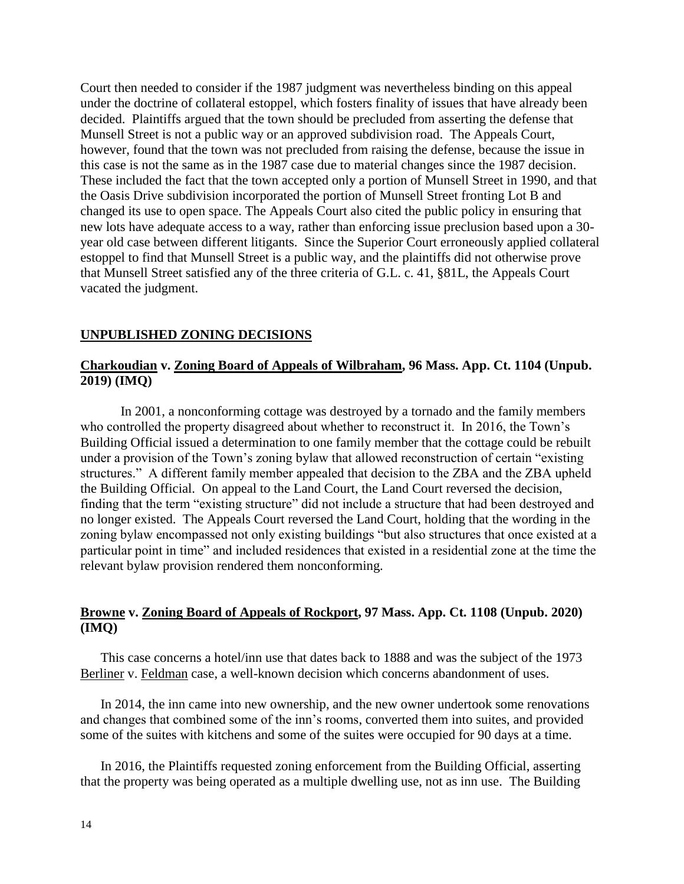Court then needed to consider if the 1987 judgment was nevertheless binding on this appeal under the doctrine of collateral estoppel, which fosters finality of issues that have already been decided. Plaintiffs argued that the town should be precluded from asserting the defense that Munsell Street is not a public way or an approved subdivision road. The Appeals Court, however, found that the town was not precluded from raising the defense, because the issue in this case is not the same as in the 1987 case due to material changes since the 1987 decision. These included the fact that the town accepted only a portion of Munsell Street in 1990, and that the Oasis Drive subdivision incorporated the portion of Munsell Street fronting Lot B and changed its use to open space. The Appeals Court also cited the public policy in ensuring that new lots have adequate access to a way, rather than enforcing issue preclusion based upon a 30 year old case between different litigants. Since the Superior Court erroneously applied collateral estoppel to find that Munsell Street is a public way, and the plaintiffs did not otherwise prove that Munsell Street satisfied any of the three criteria of G.L. c. 41, §81L, the Appeals Court vacated the judgment.

# **UNPUBLISHED ZONING DECISIONS**

### **Charkoudian v. Zoning Board of Appeals of Wilbraham, 96 Mass. App. Ct. 1104 (Unpub. 2019) (IMQ)**

In 2001, a nonconforming cottage was destroyed by a tornado and the family members who controlled the property disagreed about whether to reconstruct it. In 2016, the Town's Building Official issued a determination to one family member that the cottage could be rebuilt under a provision of the Town's zoning bylaw that allowed reconstruction of certain "existing structures." A different family member appealed that decision to the ZBA and the ZBA upheld the Building Official. On appeal to the Land Court, the Land Court reversed the decision, finding that the term "existing structure" did not include a structure that had been destroyed and no longer existed. The Appeals Court reversed the Land Court, holding that the wording in the zoning bylaw encompassed not only existing buildings "but also structures that once existed at a particular point in time" and included residences that existed in a residential zone at the time the relevant bylaw provision rendered them nonconforming.

# **Browne v. Zoning Board of Appeals of Rockport, 97 Mass. App. Ct. 1108 (Unpub. 2020) (IMQ)**

This case concerns a hotel/inn use that dates back to 1888 and was the subject of the 1973 Berliner v. Feldman case, a well-known decision which concerns abandonment of uses.

In 2014, the inn came into new ownership, and the new owner undertook some renovations and changes that combined some of the inn's rooms, converted them into suites, and provided some of the suites with kitchens and some of the suites were occupied for 90 days at a time.

In 2016, the Plaintiffs requested zoning enforcement from the Building Official, asserting that the property was being operated as a multiple dwelling use, not as inn use. The Building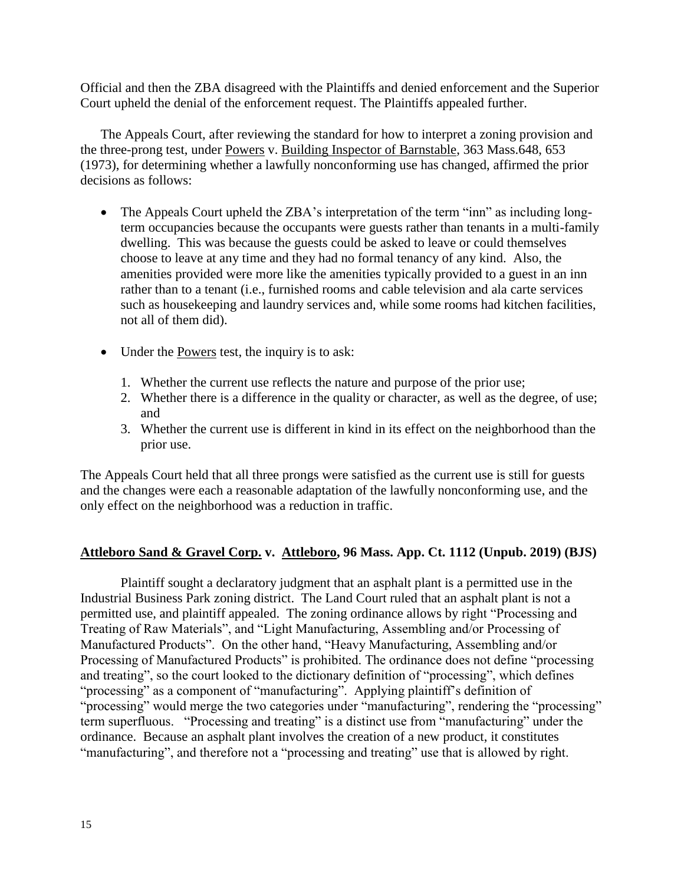Official and then the ZBA disagreed with the Plaintiffs and denied enforcement and the Superior Court upheld the denial of the enforcement request. The Plaintiffs appealed further.

The Appeals Court, after reviewing the standard for how to interpret a zoning provision and the three-prong test, under Powers v. Building Inspector of Barnstable, 363 Mass.648, 653 (1973), for determining whether a lawfully nonconforming use has changed, affirmed the prior decisions as follows:

- The Appeals Court upheld the ZBA's interpretation of the term "inn" as including longterm occupancies because the occupants were guests rather than tenants in a multi-family dwelling. This was because the guests could be asked to leave or could themselves choose to leave at any time and they had no formal tenancy of any kind. Also, the amenities provided were more like the amenities typically provided to a guest in an inn rather than to a tenant (i.e., furnished rooms and cable television and ala carte services such as housekeeping and laundry services and, while some rooms had kitchen facilities, not all of them did).
- Under the Powers test, the inquiry is to ask:
	- 1. Whether the current use reflects the nature and purpose of the prior use;
	- 2. Whether there is a difference in the quality or character, as well as the degree, of use; and
	- 3. Whether the current use is different in kind in its effect on the neighborhood than the prior use.

The Appeals Court held that all three prongs were satisfied as the current use is still for guests and the changes were each a reasonable adaptation of the lawfully nonconforming use, and the only effect on the neighborhood was a reduction in traffic.

### **Attleboro Sand & Gravel Corp. v. Attleboro, 96 Mass. App. Ct. 1112 (Unpub. 2019) (BJS)**

Plaintiff sought a declaratory judgment that an asphalt plant is a permitted use in the Industrial Business Park zoning district. The Land Court ruled that an asphalt plant is not a permitted use, and plaintiff appealed. The zoning ordinance allows by right "Processing and Treating of Raw Materials", and "Light Manufacturing, Assembling and/or Processing of Manufactured Products". On the other hand, "Heavy Manufacturing, Assembling and/or Processing of Manufactured Products" is prohibited. The ordinance does not define "processing and treating", so the court looked to the dictionary definition of "processing", which defines "processing" as a component of "manufacturing". Applying plaintiff's definition of "processing" would merge the two categories under "manufacturing", rendering the "processing" term superfluous. "Processing and treating" is a distinct use from "manufacturing" under the ordinance. Because an asphalt plant involves the creation of a new product, it constitutes "manufacturing", and therefore not a "processing and treating" use that is allowed by right.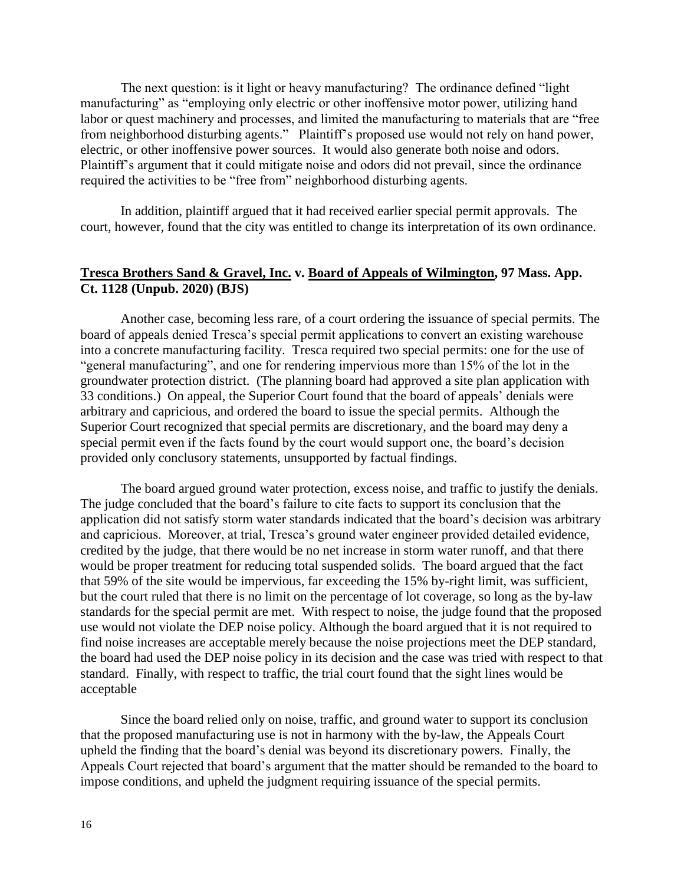The next question: is it light or heavy manufacturing? The ordinance defined "light manufacturing" as "employing only electric or other inoffensive motor power, utilizing hand labor or quest machinery and processes, and limited the manufacturing to materials that are "free from neighborhood disturbing agents." Plaintiff's proposed use would not rely on hand power, electric, or other inoffensive power sources. It would also generate both noise and odors. Plaintiff's argument that it could mitigate noise and odors did not prevail, since the ordinance required the activities to be "free from" neighborhood disturbing agents.

In addition, plaintiff argued that it had received earlier special permit approvals. The court, however, found that the city was entitled to change its interpretation of its own ordinance.

### **Tresca Brothers Sand & Gravel, Inc. v. Board of Appeals of Wilmington, 97 Mass. App. Ct. 1128 (Unpub. 2020) (BJS)**

Another case, becoming less rare, of a court ordering the issuance of special permits. The board of appeals denied Tresca's special permit applications to convert an existing warehouse into a concrete manufacturing facility. Tresca required two special permits: one for the use of "general manufacturing", and one for rendering impervious more than 15% of the lot in the groundwater protection district. (The planning board had approved a site plan application with 33 conditions.) On appeal, the Superior Court found that the board of appeals' denials were arbitrary and capricious, and ordered the board to issue the special permits. Although the Superior Court recognized that special permits are discretionary, and the board may deny a special permit even if the facts found by the court would support one, the board's decision provided only conclusory statements, unsupported by factual findings.

The board argued ground water protection, excess noise, and traffic to justify the denials. The judge concluded that the board's failure to cite facts to support its conclusion that the application did not satisfy storm water standards indicated that the board's decision was arbitrary and capricious. Moreover, at trial, Tresca's ground water engineer provided detailed evidence, credited by the judge, that there would be no net increase in storm water runoff, and that there would be proper treatment for reducing total suspended solids. The board argued that the fact that 59% of the site would be impervious, far exceeding the 15% by-right limit, was sufficient, but the court ruled that there is no limit on the percentage of lot coverage, so long as the by-law standards for the special permit are met. With respect to noise, the judge found that the proposed use would not violate the DEP noise policy. Although the board argued that it is not required to find noise increases are acceptable merely because the noise projections meet the DEP standard, the board had used the DEP noise policy in its decision and the case was tried with respect to that standard. Finally, with respect to traffic, the trial court found that the sight lines would be acceptable

Since the board relied only on noise, traffic, and ground water to support its conclusion that the proposed manufacturing use is not in harmony with the by-law, the Appeals Court upheld the finding that the board's denial was beyond its discretionary powers. Finally, the Appeals Court rejected that board's argument that the matter should be remanded to the board to impose conditions, and upheld the judgment requiring issuance of the special permits.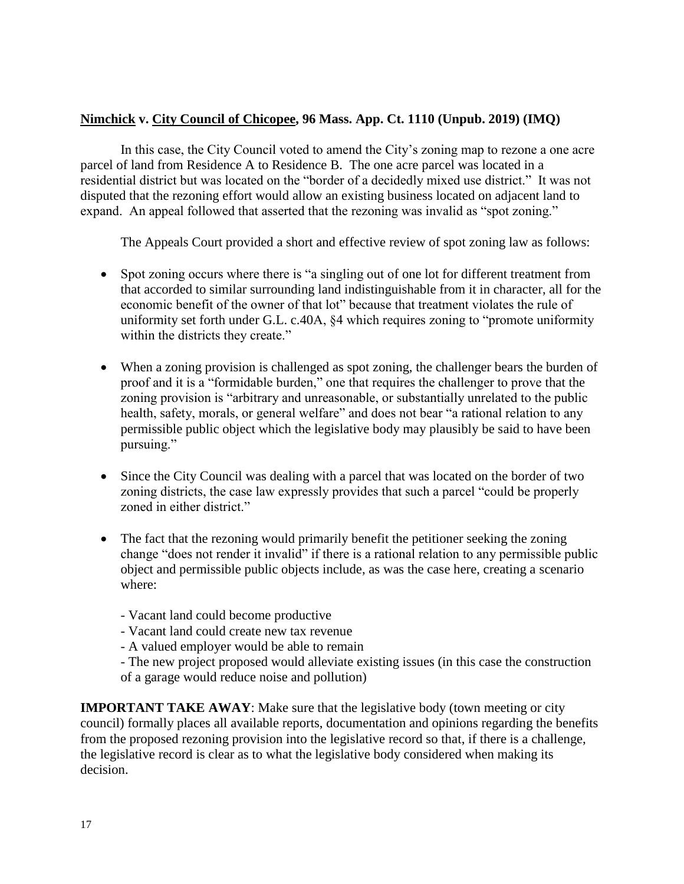# **Nimchick v. City Council of Chicopee, 96 Mass. App. Ct. 1110 (Unpub. 2019) (IMQ)**

In this case, the City Council voted to amend the City's zoning map to rezone a one acre parcel of land from Residence A to Residence B. The one acre parcel was located in a residential district but was located on the "border of a decidedly mixed use district." It was not disputed that the rezoning effort would allow an existing business located on adjacent land to expand. An appeal followed that asserted that the rezoning was invalid as "spot zoning."

The Appeals Court provided a short and effective review of spot zoning law as follows:

- Spot zoning occurs where there is "a singling out of one lot for different treatment from that accorded to similar surrounding land indistinguishable from it in character, all for the economic benefit of the owner of that lot" because that treatment violates the rule of uniformity set forth under G.L. c.40A, §4 which requires zoning to "promote uniformity within the districts they create."
- When a zoning provision is challenged as spot zoning, the challenger bears the burden of proof and it is a "formidable burden," one that requires the challenger to prove that the zoning provision is "arbitrary and unreasonable, or substantially unrelated to the public health, safety, morals, or general welfare" and does not bear "a rational relation to any permissible public object which the legislative body may plausibly be said to have been pursuing."
- Since the City Council was dealing with a parcel that was located on the border of two zoning districts, the case law expressly provides that such a parcel "could be properly zoned in either district."
- The fact that the rezoning would primarily benefit the petitioner seeking the zoning change "does not render it invalid" if there is a rational relation to any permissible public object and permissible public objects include, as was the case here, creating a scenario where:
	- Vacant land could become productive
	- Vacant land could create new tax revenue
	- A valued employer would be able to remain
	- The new project proposed would alleviate existing issues (in this case the construction of a garage would reduce noise and pollution)

**IMPORTANT TAKE AWAY**: Make sure that the legislative body (town meeting or city) council) formally places all available reports, documentation and opinions regarding the benefits from the proposed rezoning provision into the legislative record so that, if there is a challenge, the legislative record is clear as to what the legislative body considered when making its decision.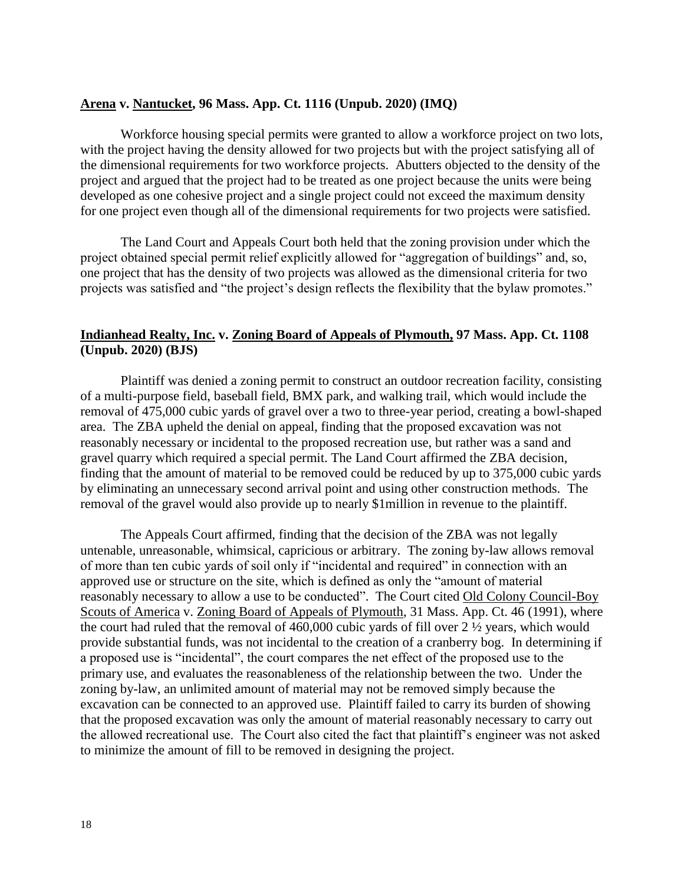#### **Arena v. Nantucket, 96 Mass. App. Ct. 1116 (Unpub. 2020) (IMQ)**

Workforce housing special permits were granted to allow a workforce project on two lots, with the project having the density allowed for two projects but with the project satisfying all of the dimensional requirements for two workforce projects. Abutters objected to the density of the project and argued that the project had to be treated as one project because the units were being developed as one cohesive project and a single project could not exceed the maximum density for one project even though all of the dimensional requirements for two projects were satisfied.

The Land Court and Appeals Court both held that the zoning provision under which the project obtained special permit relief explicitly allowed for "aggregation of buildings" and, so, one project that has the density of two projects was allowed as the dimensional criteria for two projects was satisfied and "the project's design reflects the flexibility that the bylaw promotes."

# **Indianhead Realty, Inc. v. Zoning Board of Appeals of Plymouth, 97 Mass. App. Ct. 1108 (Unpub. 2020) (BJS)**

Plaintiff was denied a zoning permit to construct an outdoor recreation facility, consisting of a multi-purpose field, baseball field, BMX park, and walking trail, which would include the removal of 475,000 cubic yards of gravel over a two to three-year period, creating a bowl-shaped area. The ZBA upheld the denial on appeal, finding that the proposed excavation was not reasonably necessary or incidental to the proposed recreation use, but rather was a sand and gravel quarry which required a special permit. The Land Court affirmed the ZBA decision, finding that the amount of material to be removed could be reduced by up to 375,000 cubic yards by eliminating an unnecessary second arrival point and using other construction methods. The removal of the gravel would also provide up to nearly \$1million in revenue to the plaintiff.

The Appeals Court affirmed, finding that the decision of the ZBA was not legally untenable, unreasonable, whimsical, capricious or arbitrary. The zoning by-law allows removal of more than ten cubic yards of soil only if "incidental and required" in connection with an approved use or structure on the site, which is defined as only the "amount of material reasonably necessary to allow a use to be conducted". The Court cited Old Colony Council-Boy Scouts of America v. Zoning Board of Appeals of Plymouth, 31 Mass. App. Ct. 46 (1991), where the court had ruled that the removal of  $460,000$  cubic vards of fill over  $2\frac{1}{2}$  years, which would provide substantial funds, was not incidental to the creation of a cranberry bog. In determining if a proposed use is "incidental", the court compares the net effect of the proposed use to the primary use, and evaluates the reasonableness of the relationship between the two. Under the zoning by-law, an unlimited amount of material may not be removed simply because the excavation can be connected to an approved use. Plaintiff failed to carry its burden of showing that the proposed excavation was only the amount of material reasonably necessary to carry out the allowed recreational use. The Court also cited the fact that plaintiff's engineer was not asked to minimize the amount of fill to be removed in designing the project.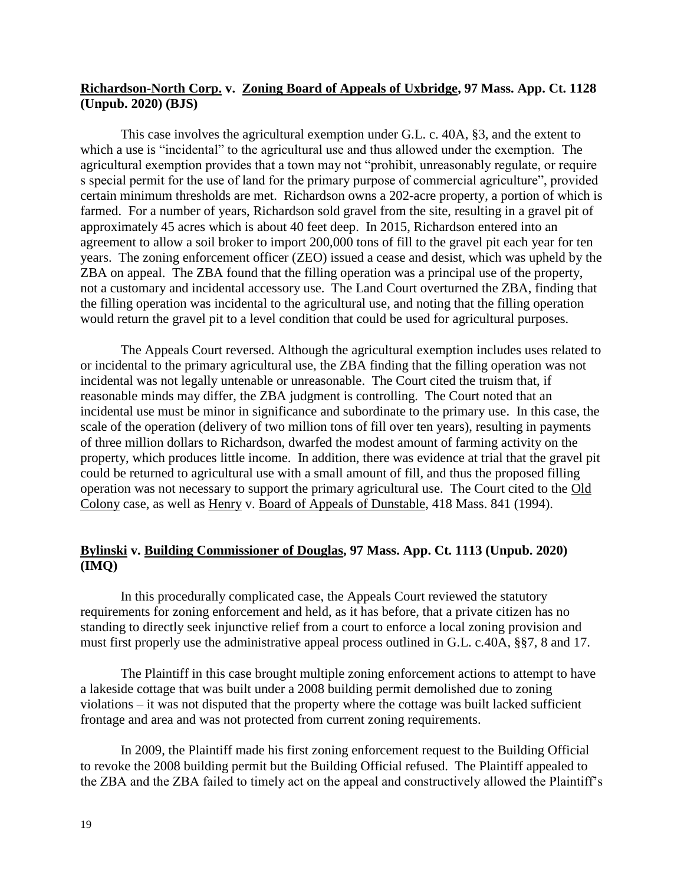### **Richardson-North Corp. v. Zoning Board of Appeals of Uxbridge, 97 Mass. App. Ct. 1128 (Unpub. 2020) (BJS)**

This case involves the agricultural exemption under G.L. c. 40A, §3, and the extent to which a use is "incidental" to the agricultural use and thus allowed under the exemption. The agricultural exemption provides that a town may not "prohibit, unreasonably regulate, or require s special permit for the use of land for the primary purpose of commercial agriculture", provided certain minimum thresholds are met. Richardson owns a 202-acre property, a portion of which is farmed. For a number of years, Richardson sold gravel from the site, resulting in a gravel pit of approximately 45 acres which is about 40 feet deep. In 2015, Richardson entered into an agreement to allow a soil broker to import 200,000 tons of fill to the gravel pit each year for ten years. The zoning enforcement officer (ZEO) issued a cease and desist, which was upheld by the ZBA on appeal. The ZBA found that the filling operation was a principal use of the property, not a customary and incidental accessory use. The Land Court overturned the ZBA, finding that the filling operation was incidental to the agricultural use, and noting that the filling operation would return the gravel pit to a level condition that could be used for agricultural purposes.

The Appeals Court reversed. Although the agricultural exemption includes uses related to or incidental to the primary agricultural use, the ZBA finding that the filling operation was not incidental was not legally untenable or unreasonable. The Court cited the truism that, if reasonable minds may differ, the ZBA judgment is controlling. The Court noted that an incidental use must be minor in significance and subordinate to the primary use. In this case, the scale of the operation (delivery of two million tons of fill over ten years), resulting in payments of three million dollars to Richardson, dwarfed the modest amount of farming activity on the property, which produces little income. In addition, there was evidence at trial that the gravel pit could be returned to agricultural use with a small amount of fill, and thus the proposed filling operation was not necessary to support the primary agricultural use. The Court cited to the Old Colony case, as well as Henry v. Board of Appeals of Dunstable, 418 Mass. 841 (1994).

# **Bylinski v. Building Commissioner of Douglas, 97 Mass. App. Ct. 1113 (Unpub. 2020) (IMQ)**

In this procedurally complicated case, the Appeals Court reviewed the statutory requirements for zoning enforcement and held, as it has before, that a private citizen has no standing to directly seek injunctive relief from a court to enforce a local zoning provision and must first properly use the administrative appeal process outlined in G.L. c.40A, §§7, 8 and 17.

The Plaintiff in this case brought multiple zoning enforcement actions to attempt to have a lakeside cottage that was built under a 2008 building permit demolished due to zoning violations – it was not disputed that the property where the cottage was built lacked sufficient frontage and area and was not protected from current zoning requirements.

In 2009, the Plaintiff made his first zoning enforcement request to the Building Official to revoke the 2008 building permit but the Building Official refused. The Plaintiff appealed to the ZBA and the ZBA failed to timely act on the appeal and constructively allowed the Plaintiff's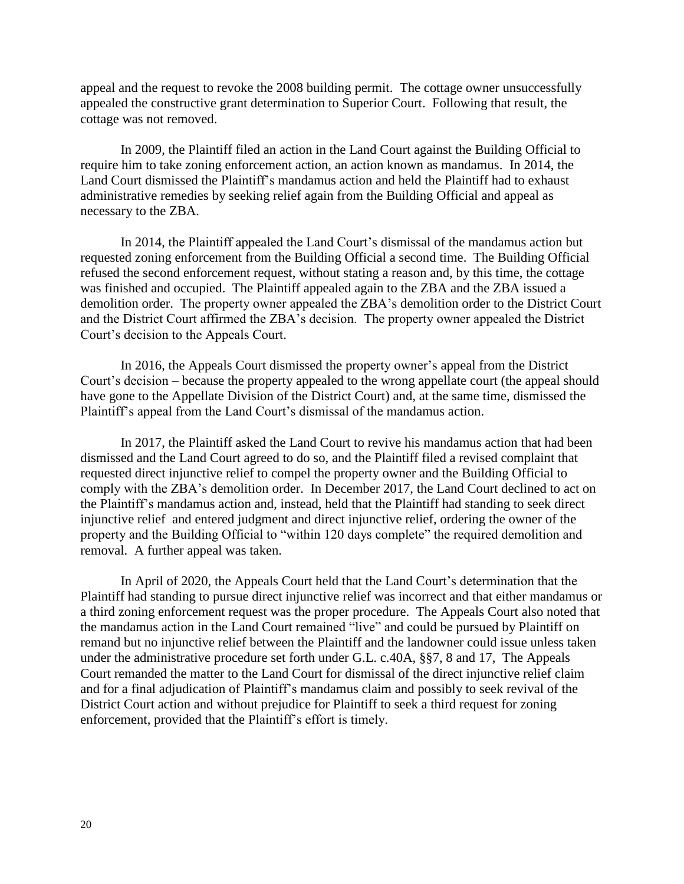appeal and the request to revoke the 2008 building permit. The cottage owner unsuccessfully appealed the constructive grant determination to Superior Court. Following that result, the cottage was not removed.

In 2009, the Plaintiff filed an action in the Land Court against the Building Official to require him to take zoning enforcement action, an action known as mandamus. In 2014, the Land Court dismissed the Plaintiff's mandamus action and held the Plaintiff had to exhaust administrative remedies by seeking relief again from the Building Official and appeal as necessary to the ZBA.

In 2014, the Plaintiff appealed the Land Court's dismissal of the mandamus action but requested zoning enforcement from the Building Official a second time. The Building Official refused the second enforcement request, without stating a reason and, by this time, the cottage was finished and occupied. The Plaintiff appealed again to the ZBA and the ZBA issued a demolition order. The property owner appealed the ZBA's demolition order to the District Court and the District Court affirmed the ZBA's decision. The property owner appealed the District Court's decision to the Appeals Court.

In 2016, the Appeals Court dismissed the property owner's appeal from the District Court's decision – because the property appealed to the wrong appellate court (the appeal should have gone to the Appellate Division of the District Court) and, at the same time, dismissed the Plaintiff's appeal from the Land Court's dismissal of the mandamus action.

In 2017, the Plaintiff asked the Land Court to revive his mandamus action that had been dismissed and the Land Court agreed to do so, and the Plaintiff filed a revised complaint that requested direct injunctive relief to compel the property owner and the Building Official to comply with the ZBA's demolition order. In December 2017, the Land Court declined to act on the Plaintiff's mandamus action and, instead, held that the Plaintiff had standing to seek direct injunctive relief and entered judgment and direct injunctive relief, ordering the owner of the property and the Building Official to "within 120 days complete" the required demolition and removal. A further appeal was taken.

In April of 2020, the Appeals Court held that the Land Court's determination that the Plaintiff had standing to pursue direct injunctive relief was incorrect and that either mandamus or a third zoning enforcement request was the proper procedure. The Appeals Court also noted that the mandamus action in the Land Court remained "live" and could be pursued by Plaintiff on remand but no injunctive relief between the Plaintiff and the landowner could issue unless taken under the administrative procedure set forth under G.L. c.40A, §§7, 8 and 17, The Appeals Court remanded the matter to the Land Court for dismissal of the direct injunctive relief claim and for a final adjudication of Plaintiff's mandamus claim and possibly to seek revival of the District Court action and without prejudice for Plaintiff to seek a third request for zoning enforcement, provided that the Plaintiff's effort is timely.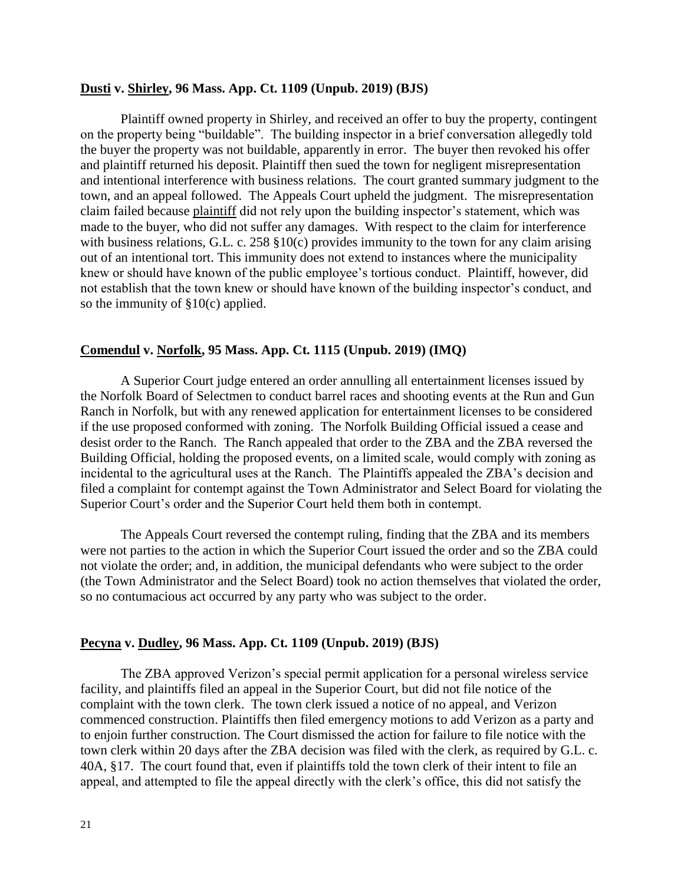#### **Dusti v. Shirley, 96 Mass. App. Ct. 1109 (Unpub. 2019) (BJS)**

Plaintiff owned property in Shirley, and received an offer to buy the property, contingent on the property being "buildable". The building inspector in a brief conversation allegedly told the buyer the property was not buildable, apparently in error. The buyer then revoked his offer and plaintiff returned his deposit. Plaintiff then sued the town for negligent misrepresentation and intentional interference with business relations. The court granted summary judgment to the town, and an appeal followed. The Appeals Court upheld the judgment. The misrepresentation claim failed because plaintiff did not rely upon the building inspector's statement, which was made to the buyer, who did not suffer any damages. With respect to the claim for interference with business relations, G.L. c. 258 §10(c) provides immunity to the town for any claim arising out of an intentional tort. This immunity does not extend to instances where the municipality knew or should have known of the public employee's tortious conduct. Plaintiff, however, did not establish that the town knew or should have known of the building inspector's conduct, and so the immunity of §10(c) applied.

#### **Comendul v. Norfolk, 95 Mass. App. Ct. 1115 (Unpub. 2019) (IMQ)**

A Superior Court judge entered an order annulling all entertainment licenses issued by the Norfolk Board of Selectmen to conduct barrel races and shooting events at the Run and Gun Ranch in Norfolk, but with any renewed application for entertainment licenses to be considered if the use proposed conformed with zoning. The Norfolk Building Official issued a cease and desist order to the Ranch. The Ranch appealed that order to the ZBA and the ZBA reversed the Building Official, holding the proposed events, on a limited scale, would comply with zoning as incidental to the agricultural uses at the Ranch. The Plaintiffs appealed the ZBA's decision and filed a complaint for contempt against the Town Administrator and Select Board for violating the Superior Court's order and the Superior Court held them both in contempt.

The Appeals Court reversed the contempt ruling, finding that the ZBA and its members were not parties to the action in which the Superior Court issued the order and so the ZBA could not violate the order; and, in addition, the municipal defendants who were subject to the order (the Town Administrator and the Select Board) took no action themselves that violated the order, so no contumacious act occurred by any party who was subject to the order.

#### **Pecyna v. Dudley, 96 Mass. App. Ct. 1109 (Unpub. 2019) (BJS)**

The ZBA approved Verizon's special permit application for a personal wireless service facility, and plaintiffs filed an appeal in the Superior Court, but did not file notice of the complaint with the town clerk. The town clerk issued a notice of no appeal, and Verizon commenced construction. Plaintiffs then filed emergency motions to add Verizon as a party and to enjoin further construction. The Court dismissed the action for failure to file notice with the town clerk within 20 days after the ZBA decision was filed with the clerk, as required by G.L. c. 40A, §17. The court found that, even if plaintiffs told the town clerk of their intent to file an appeal, and attempted to file the appeal directly with the clerk's office, this did not satisfy the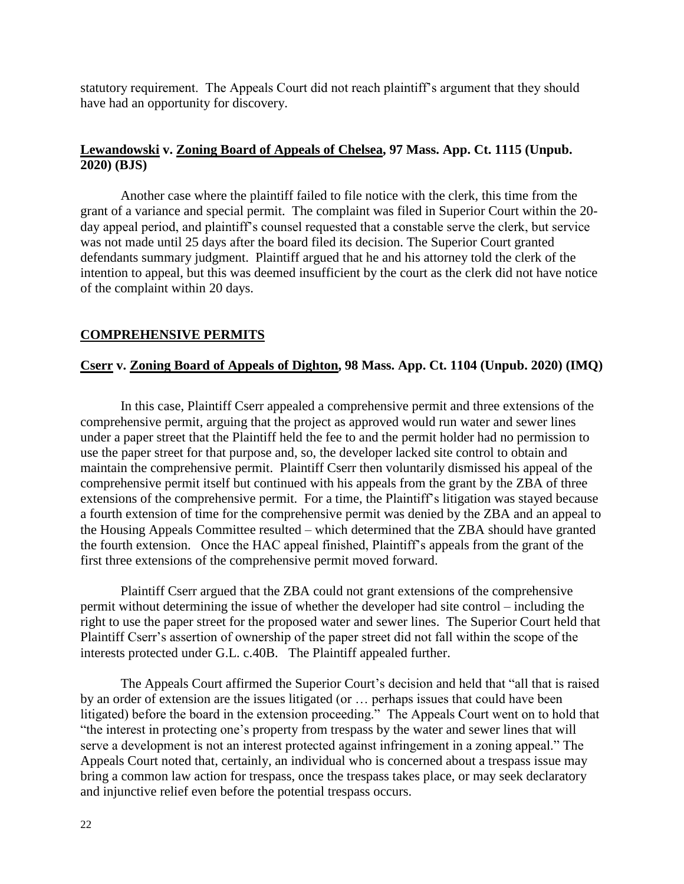statutory requirement. The Appeals Court did not reach plaintiff's argument that they should have had an opportunity for discovery.

# **Lewandowski v. Zoning Board of Appeals of Chelsea, 97 Mass. App. Ct. 1115 (Unpub. 2020) (BJS)**

Another case where the plaintiff failed to file notice with the clerk, this time from the grant of a variance and special permit. The complaint was filed in Superior Court within the 20 day appeal period, and plaintiff's counsel requested that a constable serve the clerk, but service was not made until 25 days after the board filed its decision. The Superior Court granted defendants summary judgment. Plaintiff argued that he and his attorney told the clerk of the intention to appeal, but this was deemed insufficient by the court as the clerk did not have notice of the complaint within 20 days.

### **COMPREHENSIVE PERMITS**

### **Cserr v. Zoning Board of Appeals of Dighton, 98 Mass. App. Ct. 1104 (Unpub. 2020) (IMQ)**

In this case, Plaintiff Cserr appealed a comprehensive permit and three extensions of the comprehensive permit, arguing that the project as approved would run water and sewer lines under a paper street that the Plaintiff held the fee to and the permit holder had no permission to use the paper street for that purpose and, so, the developer lacked site control to obtain and maintain the comprehensive permit. Plaintiff Cserr then voluntarily dismissed his appeal of the comprehensive permit itself but continued with his appeals from the grant by the ZBA of three extensions of the comprehensive permit. For a time, the Plaintiff's litigation was stayed because a fourth extension of time for the comprehensive permit was denied by the ZBA and an appeal to the Housing Appeals Committee resulted – which determined that the ZBA should have granted the fourth extension. Once the HAC appeal finished, Plaintiff's appeals from the grant of the first three extensions of the comprehensive permit moved forward.

Plaintiff Cserr argued that the ZBA could not grant extensions of the comprehensive permit without determining the issue of whether the developer had site control – including the right to use the paper street for the proposed water and sewer lines. The Superior Court held that Plaintiff Cserr's assertion of ownership of the paper street did not fall within the scope of the interests protected under G.L. c.40B. The Plaintiff appealed further.

The Appeals Court affirmed the Superior Court's decision and held that "all that is raised by an order of extension are the issues litigated (or … perhaps issues that could have been litigated) before the board in the extension proceeding." The Appeals Court went on to hold that "the interest in protecting one's property from trespass by the water and sewer lines that will serve a development is not an interest protected against infringement in a zoning appeal." The Appeals Court noted that, certainly, an individual who is concerned about a trespass issue may bring a common law action for trespass, once the trespass takes place, or may seek declaratory and injunctive relief even before the potential trespass occurs.